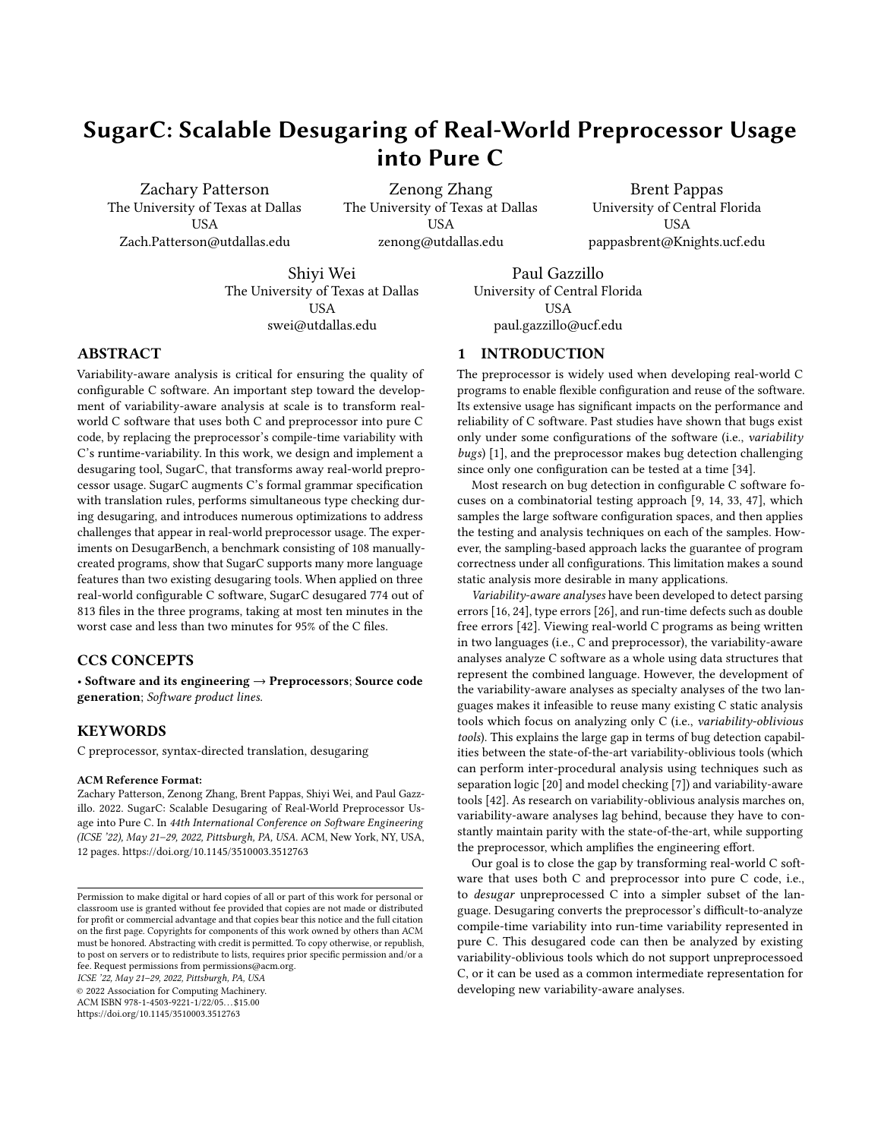# SugarC: Scalable Desugaring of Real-World Preprocessor Usage into Pure C

Zachary Patterson The University of Texas at Dallas **USA** Zach.Patterson@utdallas.edu

Zenong Zhang The University of Texas at Dallas **USA** zenong@utdallas.edu

Brent Pappas University of Central Florida USA pappasbrent@Knights.ucf.edu

Shiyi Wei The University of Texas at Dallas **USA** swei@utdallas.edu

Paul Gazzillo USA paul.gazzillo@ucf.edu

# ABSTRACT

Variability-aware analysis is critical for ensuring the quality of configurable C software. An important step toward the development of variability-aware analysis at scale is to transform realworld C software that uses both C and preprocessor into pure C code, by replacing the preprocessor's compile-time variability with C's runtime-variability. In this work, we design and implement a desugaring tool, SugarC, that transforms away real-world preprocessor usage. SugarC augments C's formal grammar specification with translation rules, performs simultaneous type checking during desugaring, and introduces numerous optimizations to address challenges that appear in real-world preprocessor usage. The experiments on DesugarBench, a benchmark consisting of 108 manuallycreated programs, show that SugarC supports many more language features than two existing desugaring tools. When applied on three real-world configurable C software, SugarC desugared 774 out of 813 files in the three programs, taking at most ten minutes in the worst case and less than two minutes for 95% of the C files.

#### CCS CONCEPTS

• Software and its engineering → Preprocessors; Source code generation; Software product lines.

## **KEYWORDS**

C preprocessor, syntax-directed translation, desugaring

#### ACM Reference Format:

Zachary Patterson, Zenong Zhang, Brent Pappas, Shiyi Wei, and Paul Gazzillo. 2022. SugarC: Scalable Desugaring of Real-World Preprocessor Usage into Pure C. In 44th International Conference on Software Engineering (ICSE '22), May 21–29, 2022, Pittsburgh, PA, USA. ACM, New York, NY, USA, [12](#page-11-0) pages.<https://doi.org/10.1145/3510003.3512763>

ICSE '22, May 21–29, 2022, Pittsburgh, PA, USA

© 2022 Association for Computing Machinery.

ACM ISBN 978-1-4503-9221-1/22/05. . . \$15.00 <https://doi.org/10.1145/3510003.3512763>

University of Central Florida

# 1 INTRODUCTION

The preprocessor is widely used when developing real-world C programs to enable flexible configuration and reuse of the software. Its extensive usage has significant impacts on the performance and reliability of C software. Past studies have shown that bugs exist only under some configurations of the software (i.e., variability bugs) [\[1\]](#page-10-0), and the preprocessor makes bug detection challenging since only one configuration can be tested at a time [\[34\]](#page-11-1).

Most research on bug detection in configurable C software focuses on a combinatorial testing approach [\[9,](#page-10-1) [14,](#page-11-2) [33,](#page-11-3) [47\]](#page-11-4), which samples the large software configuration spaces, and then applies the testing and analysis techniques on each of the samples. However, the sampling-based approach lacks the guarantee of program correctness under all configurations. This limitation makes a sound static analysis more desirable in many applications.

Variability-aware analyses have been developed to detect parsing errors [\[16,](#page-11-5) [24\]](#page-11-6), type errors [\[26\]](#page-11-7), and run-time defects such as double free errors [\[42\]](#page-11-8). Viewing real-world C programs as being written in two languages (i.e., C and preprocessor), the variability-aware analyses analyze C software as a whole using data structures that represent the combined language. However, the development of the variability-aware analyses as specialty analyses of the two languages makes it infeasible to reuse many existing C static analysis tools which focus on analyzing only C (i.e., variability-oblivious tools). This explains the large gap in terms of bug detection capabilities between the state-of-the-art variability-oblivious tools (which can perform inter-procedural analysis using techniques such as separation logic [\[20\]](#page-11-9) and model checking [\[7\]](#page-10-2)) and variability-aware tools [\[42\]](#page-11-8). As research on variability-oblivious analysis marches on, variability-aware analyses lag behind, because they have to constantly maintain parity with the state-of-the-art, while supporting the preprocessor, which amplifies the engineering effort.

Our goal is to close the gap by transforming real-world C software that uses both C and preprocessor into pure C code, i.e., to desugar unpreprocessed C into a simpler subset of the language. Desugaring converts the preprocessor's difficult-to-analyze compile-time variability into run-time variability represented in pure C. This desugared code can then be analyzed by existing variability-oblivious tools which do not support unpreprocessoed C, or it can be used as a common intermediate representation for developing new variability-aware analyses.

Permission to make digital or hard copies of all or part of this work for personal or classroom use is granted without fee provided that copies are not made or distributed for profit or commercial advantage and that copies bear this notice and the full citation on the first page. Copyrights for components of this work owned by others than ACM must be honored. Abstracting with credit is permitted. To copy otherwise, or republish, to post on servers or to redistribute to lists, requires prior specific permission and/or a fee. Request permissions from permissions@acm.org.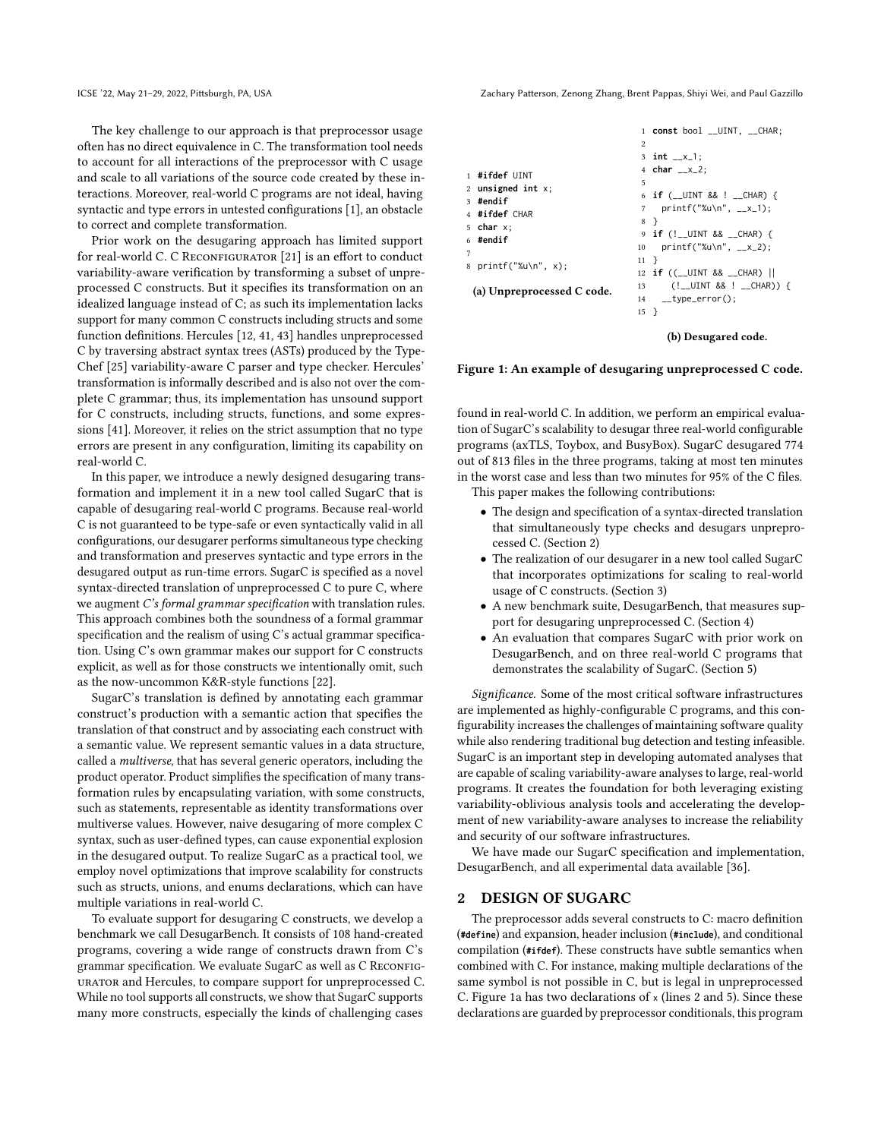The key challenge to our approach is that preprocessor usage often has no direct equivalence in C. The transformation tool needs to account for all interactions of the preprocessor with C usage and scale to all variations of the source code created by these interactions. Moreover, real-world C programs are not ideal, having syntactic and type errors in untested configurations [\[1\]](#page-10-0), an obstacle to correct and complete transformation.

Prior work on the desugaring approach has limited support for real-world C. C RECONFIGURATOR [\[21\]](#page-11-10) is an effort to conduct variability-aware verification by transforming a subset of unpreprocessed C constructs. But it specifies its transformation on an idealized language instead of C; as such its implementation lacks support for many common C constructs including structs and some function definitions. Hercules [\[12,](#page-11-11) [41,](#page-11-12) [43\]](#page-11-13) handles unpreprocessed C by traversing abstract syntax trees (ASTs) produced by the Type-Chef [\[25\]](#page-11-14) variability-aware C parser and type checker. Hercules' transformation is informally described and is also not over the complete C grammar; thus, its implementation has unsound support for C constructs, including structs, functions, and some expressions [\[41\]](#page-11-12). Moreover, it relies on the strict assumption that no type errors are present in any configuration, limiting its capability on real-world C.

In this paper, we introduce a newly designed desugaring transformation and implement it in a new tool called SugarC that is capable of desugaring real-world C programs. Because real-world C is not guaranteed to be type-safe or even syntactically valid in all configurations, our desugarer performs simultaneous type checking and transformation and preserves syntactic and type errors in the desugared output as run-time errors. SugarC is specified as a novel syntax-directed translation of unpreprocessed C to pure C, where we augment C's formal grammar specification with translation rules. This approach combines both the soundness of a formal grammar specification and the realism of using C's actual grammar specification. Using C's own grammar makes our support for C constructs explicit, as well as for those constructs we intentionally omit, such as the now-uncommon K&R-style functions [\[22\]](#page-11-15).

SugarC's translation is defined by annotating each grammar construct's production with a semantic action that specifies the translation of that construct and by associating each construct with a semantic value. We represent semantic values in a data structure, called a multiverse, that has several generic operators, including the product operator. Product simplifies the specification of many transformation rules by encapsulating variation, with some constructs, such as statements, representable as identity transformations over multiverse values. However, naive desugaring of more complex C syntax, such as user-defined types, can cause exponential explosion in the desugared output. To realize SugarC as a practical tool, we employ novel optimizations that improve scalability for constructs such as structs, unions, and enums declarations, which can have multiple variations in real-world C.

To evaluate support for desugaring C constructs, we develop a benchmark we call DesugarBench. It consists of 108 hand-created programs, covering a wide range of constructs drawn from C's grammar specification. We evaluate SugarC as well as C RECONFIGurator and Hercules, to compare support for unpreprocessed C. While no tool supports all constructs, we show that SugarC supports many more constructs, especially the kinds of challenging cases

ICSE '22, May 21–29, 2022, Pittsburgh, PA, USA Zachary Patterson, Zenong Zhang, Brent Pappas, Shiyi Wei, and Paul Gazzillo

<span id="page-1-1"></span>

|                            | 1 const bool __UINT, __CHAR;                                                                                                                                                                                                                                                                                                        |
|----------------------------|-------------------------------------------------------------------------------------------------------------------------------------------------------------------------------------------------------------------------------------------------------------------------------------------------------------------------------------|
|                            | $\mathfrak{D}$                                                                                                                                                                                                                                                                                                                      |
|                            | 3 $int_{-x-1}$ ;                                                                                                                                                                                                                                                                                                                    |
| 1 #ifdef UINT              | 4 $char_{--}x_{-2}$ ;                                                                                                                                                                                                                                                                                                               |
| 2 unsigned int $x$ ;       | 5                                                                                                                                                                                                                                                                                                                                   |
| 3 #endif                   | 6 $if$ (__UINT && ! __CHAR) {                                                                                                                                                                                                                                                                                                       |
| 4 #ifdef CHAR              |                                                                                                                                                                                                                                                                                                                                     |
| 5 char $x$ ;               | 8 }                                                                                                                                                                                                                                                                                                                                 |
| 6 #endif                   | 9 <b>if</b> (!__UINT && __CHAR) {                                                                                                                                                                                                                                                                                                   |
| 7                          | 10 $print(f("%u\n", _x_2);$                                                                                                                                                                                                                                                                                                         |
| 8 printf("%u\n", x);       | $11$ }                                                                                                                                                                                                                                                                                                                              |
|                            | 12 <b>if</b> $((-$ UINT && $(C)$ (                                                                                                                                                                                                                                                                                                  |
|                            | $($ $\lbrack$ $\lbrack$ $\lbrack$ $\lbrack$ $\lbrack$ $\lbrack$ $\lbrack$ $\lbrack$ $\lbrack$ $\lbrack$ $\lbrack$ $\lbrack$ $\lbrack$ $\lbrack$ $\lbrack$ $\lbrack$ $\lbrack$ $\lbrack$ $\lbrack$ $\lbrack$ $\lbrack$ $\lbrack$ $\lbrack$ $\lbrack$ $\lbrack$ $\lbrack$ $\lbrack$ $\lbrack$ $\lbrack$ $\lbrack$ $\lbrack$<br>$13 -$ |
| (a) Unpreprocessed C code. | $14$ __type_error();                                                                                                                                                                                                                                                                                                                |
|                            | $15 \quad \}$                                                                                                                                                                                                                                                                                                                       |
|                            |                                                                                                                                                                                                                                                                                                                                     |

(b) Desugared code.

#### Figure 1: An example of desugaring unpreprocessed C code.

found in real-world C. In addition, we perform an empirical evaluation of SugarC's scalability to desugar three real-world configurable programs (axTLS, Toybox, and BusyBox). SugarC desugared 774 out of 813 files in the three programs, taking at most ten minutes in the worst case and less than two minutes for 95% of the C files. This paper makes the following contributions:

- The design and specification of a syntax-directed translation that simultaneously type checks and desugars unpreprocessed C. (Section [2\)](#page-1-0)
- The realization of our desugarer in a new tool called SugarC that incorporates optimizations for scaling to real-world usage of C constructs. (Section [3\)](#page-4-0)
- A new benchmark suite, DesugarBench, that measures support for desugaring unpreprocessed C. (Section [4\)](#page-7-0)
- An evaluation that compares SugarC with prior work on DesugarBench, and on three real-world C programs that demonstrates the scalability of SugarC. (Section [5\)](#page-7-1)

Significance. Some of the most critical software infrastructures are implemented as highly-configurable C programs, and this configurability increases the challenges of maintaining software quality while also rendering traditional bug detection and testing infeasible. SugarC is an important step in developing automated analyses that are capable of scaling variability-aware analyses to large, real-world programs. It creates the foundation for both leveraging existing variability-oblivious analysis tools and accelerating the development of new variability-aware analyses to increase the reliability and security of our software infrastructures.

We have made our SugarC specification and implementation, DesugarBench, and all experimental data available [\[36\]](#page-11-16).

#### <span id="page-1-0"></span>2 DESIGN OF SUGARC

The preprocessor adds several constructs to C: macro definition (**#define**) and expansion, header inclusion (**#include**), and conditional compilation (**#ifdef**). These constructs have subtle semantics when combined with C. For instance, making multiple declarations of the same symbol is not possible in C, but is legal in unpreprocessed C. Figure [1a](#page-1-1) has two declarations of x (lines 2 and 5). Since these declarations are guarded by preprocessor conditionals, this program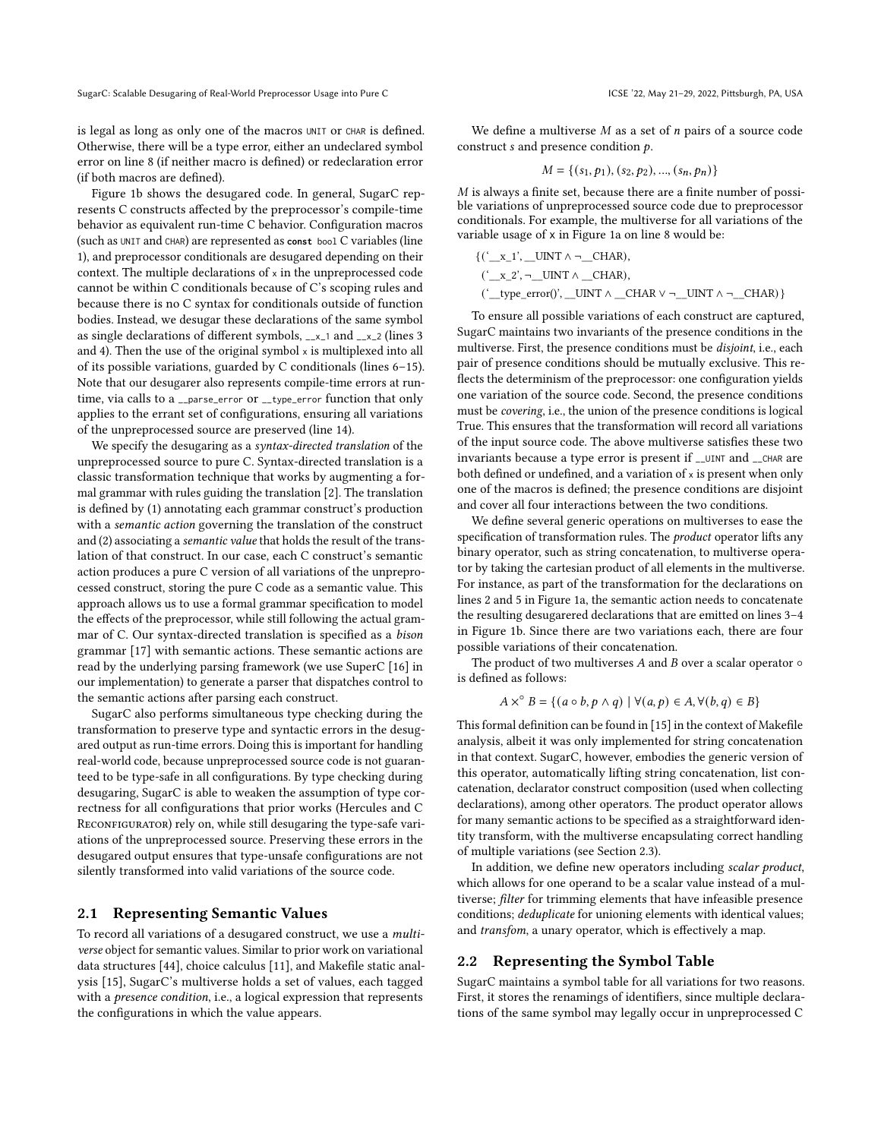is legal as long as only one of the macros UNIT or CHAR is defined. Otherwise, there will be a type error, either an undeclared symbol error on line 8 (if neither macro is defined) or redeclaration error (if both macros are defined).

Figure [1b](#page-1-1) shows the desugared code. In general, SugarC represents C constructs affected by the preprocessor's compile-time behavior as equivalent run-time C behavior. Configuration macros (such as UNIT and CHAR) are represented as **const** bool C variables (line 1), and preprocessor conditionals are desugared depending on their context. The multiple declarations of x in the unpreprocessed code cannot be within C conditionals because of C's scoping rules and because there is no C syntax for conditionals outside of function bodies. Instead, we desugar these declarations of the same symbol as single declarations of different symbols, \_\_x\_1 and \_\_x\_2 (lines 3 and 4). Then the use of the original symbol  $\times$  is multiplexed into all of its possible variations, guarded by C conditionals (lines 6–15). Note that our desugarer also represents compile-time errors at runtime, via calls to a \_\_parse\_error or \_\_type\_error function that only applies to the errant set of configurations, ensuring all variations of the unpreprocessed source are preserved (line 14).

We specify the desugaring as a syntax-directed translation of the unpreprocessed source to pure C. Syntax-directed translation is a classic transformation technique that works by augmenting a formal grammar with rules guiding the translation [\[2\]](#page-10-3). The translation is defined by (1) annotating each grammar construct's production with a semantic action governing the translation of the construct and (2) associating a semantic value that holds the result of the translation of that construct. In our case, each C construct's semantic action produces a pure C version of all variations of the unpreprocessed construct, storing the pure C code as a semantic value. This approach allows us to use a formal grammar specification to model the effects of the preprocessor, while still following the actual grammar of C. Our syntax-directed translation is specified as a bison grammar [\[17\]](#page-11-17) with semantic actions. These semantic actions are read by the underlying parsing framework (we use SuperC [\[16\]](#page-11-5) in our implementation) to generate a parser that dispatches control to the semantic actions after parsing each construct.

SugarC also performs simultaneous type checking during the transformation to preserve type and syntactic errors in the desugared output as run-time errors. Doing this is important for handling real-world code, because unpreprocessed source code is not guaranteed to be type-safe in all configurations. By type checking during desugaring, SugarC is able to weaken the assumption of type correctness for all configurations that prior works (Hercules and C RECONFIGURATOR) rely on, while still desugaring the type-safe variations of the unpreprocessed source. Preserving these errors in the desugared output ensures that type-unsafe configurations are not silently transformed into valid variations of the source code.

#### 2.1 Representing Semantic Values

To record all variations of a desugared construct, we use a multiverse object for semantic values. Similar to prior work on variational data structures [\[44\]](#page-11-18), choice calculus [\[11\]](#page-10-4), and Makefile static analysis [\[15\]](#page-11-19), SugarC's multiverse holds a set of values, each tagged with a *presence condition*, i.e., a logical expression that represents the configurations in which the value appears.

We define a multiverse  $M$  as a set of  $n$  pairs of a source code construct  $s$  and presence condition  $p$ .

$$
M = \{ (s_1, p_1), (s_2, p_2), ..., (s_n, p_n) \}
$$

 $M$  is always a finite set, because there are a finite number of possible variations of unpreprocessed source code due to preprocessor conditionals. For example, the multiverse for all variations of the variable usage of x in Figure [1a](#page-1-1) on line 8 would be:

$$
{\underbrace{({}_{x_1}, \ldots, {}_{x_n}, \ldots, {}_{n_n})}_{\text{((}_{x_2}, \ldots, {}_{x_n})\subset \text{HAR}\,\wedge\; \ldots\subset \text{HAR})}}},
$$

To ensure all possible variations of each construct are captured, SugarC maintains two invariants of the presence conditions in the multiverse. First, the presence conditions must be disjoint, i.e., each pair of presence conditions should be mutually exclusive. This reflects the determinism of the preprocessor: one configuration yields one variation of the source code. Second, the presence conditions must be covering, i.e., the union of the presence conditions is logical True. This ensures that the transformation will record all variations of the input source code. The above multiverse satisfies these two invariants because a type error is present if \_\_UINT and \_\_CHAR are both defined or undefined, and a variation of x is present when only one of the macros is defined; the presence conditions are disjoint and cover all four interactions between the two conditions.

We define several generic operations on multiverses to ease the specification of transformation rules. The *product* operator lifts any binary operator, such as string concatenation, to multiverse operator by taking the cartesian product of all elements in the multiverse. For instance, as part of the transformation for the declarations on lines 2 and 5 in Figure [1a,](#page-1-1) the semantic action needs to concatenate the resulting desugarered declarations that are emitted on lines 3–4 in Figure [1b.](#page-1-1) Since there are two variations each, there are four possible variations of their concatenation.

The product of two multiverses  $A$  and  $B$  over a scalar operator  $\circ$ is defined as follows:

$$
A \times^{\circ} B = \{ (a \circ b, p \land q) \mid \forall (a, p) \in A, \forall (b, q) \in B \}
$$

This formal definition can be found in [\[15\]](#page-11-19) in the context of Makefile analysis, albeit it was only implemented for string concatenation in that context. SugarC, however, embodies the generic version of this operator, automatically lifting string concatenation, list concatenation, declarator construct composition (used when collecting declarations), among other operators. The product operator allows for many semantic actions to be specified as a straightforward identity transform, with the multiverse encapsulating correct handling of multiple variations (see Section [2.3\)](#page-3-0).

In addition, we define new operators including scalar product, which allows for one operand to be a scalar value instead of a multiverse; filter for trimming elements that have infeasible presence conditions; deduplicate for unioning elements with identical values; and transfom, a unary operator, which is effectively a map.

#### <span id="page-2-0"></span>2.2 Representing the Symbol Table

SugarC maintains a symbol table for all variations for two reasons. First, it stores the renamings of identifiers, since multiple declarations of the same symbol may legally occur in unpreprocessed C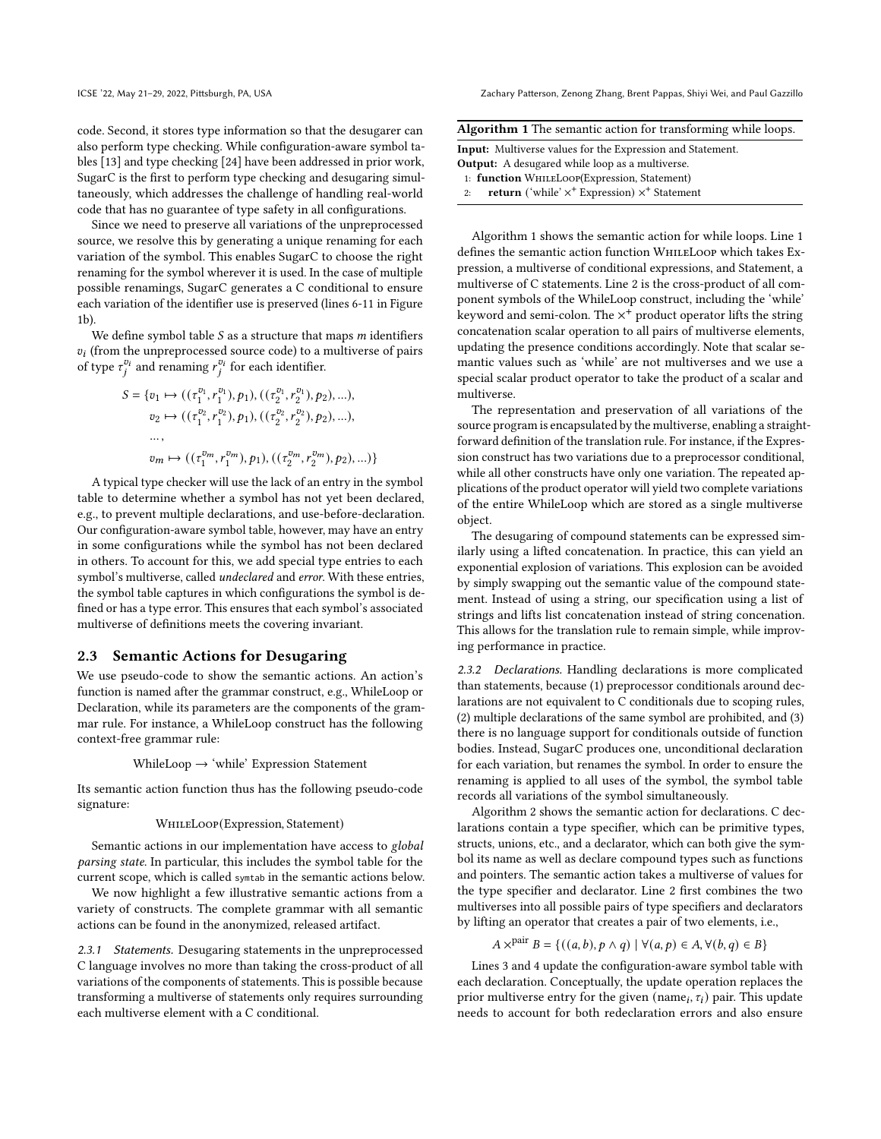code. Second, it stores type information so that the desugarer can also perform type checking. While configuration-aware symbol tables [\[13\]](#page-11-20) and type checking [\[24\]](#page-11-6) have been addressed in prior work, SugarC is the first to perform type checking and desugaring simultaneously, which addresses the challenge of handling real-world code that has no guarantee of type safety in all configurations.

Since we need to preserve all variations of the unpreprocessed source, we resolve this by generating a unique renaming for each variation of the symbol. This enables SugarC to choose the right renaming for the symbol wherever it is used. In the case of multiple possible renamings, SugarC generates a C conditional to ensure each variation of the identifier use is preserved (lines 6-11 in Figure [1b\)](#page-1-1).

We define symbol table  $S$  as a structure that maps  $m$  identifiers  $v_i$  (from the unpreprocessed source code) to a multiverse of pairs of type  $\tau_i^{v_i}$  and renaming  $r_i^{v_i}$  for each identifier.

$$
S = \{v_1 \mapsto ((\tau_1^{v_1}, r_1^{v_1}), p_1), ((\tau_2^{v_1}, r_2^{v_1}), p_2), \ldots),
$$
  
\n
$$
v_2 \mapsto ((\tau_1^{v_2}, r_1^{v_2}), p_1), ((\tau_2^{v_2}, r_2^{v_2}), p_2), \ldots),
$$
  
\n...  
\n
$$
v_m \mapsto ((\tau_1^{v_m}, r_1^{v_m}), p_1), ((\tau_2^{v_m}, r_2^{v_m}), p_2), \ldots)\}
$$

A typical type checker will use the lack of an entry in the symbol table to determine whether a symbol has not yet been declared, e.g., to prevent multiple declarations, and use-before-declaration. Our configuration-aware symbol table, however, may have an entry in some configurations while the symbol has not been declared in others. To account for this, we add special type entries to each symbol's multiverse, called undeclared and error. With these entries, the symbol table captures in which configurations the symbol is defined or has a type error. This ensures that each symbol's associated multiverse of definitions meets the covering invariant.

#### <span id="page-3-0"></span>2.3 Semantic Actions for Desugaring

We use pseudo-code to show the semantic actions. An action's function is named after the grammar construct, e.g., WhileLoop or Declaration, while its parameters are the components of the grammar rule. For instance, a WhileLoop construct has the following context-free grammar rule:

WhileLoop  $\rightarrow$  'while' Expression Statement

Its semantic action function thus has the following pseudo-code signature:

#### WhileLoop(Expression, Statement)

Semantic actions in our implementation have access to global parsing state. In particular, this includes the symbol table for the current scope, which is called symtab in the semantic actions below.

We now highlight a few illustrative semantic actions from a variety of constructs. The complete grammar with all semantic actions can be found in the anonymized, released artifact.

2.3.1 Statements. Desugaring statements in the unpreprocessed C language involves no more than taking the cross-product of all variations of the components of statements. This is possible because transforming a multiverse of statements only requires surrounding each multiverse element with a C conditional.

ICSE '22, May 21–29, 2022, Pittsburgh, PA, USA Zachary Patterson, Zenong Zhang, Brent Pappas, Shiyi Wei, and Paul Gazzillo

<span id="page-3-1"></span>

| Algorithm 1 The semantic action for transforming while loops. |  |  |  |  |  |
|---------------------------------------------------------------|--|--|--|--|--|
|                                                               |  |  |  |  |  |

| <b>Input:</b> Multiverse values for the Expression and Statement.                              |  |  |  |  |  |  |  |
|------------------------------------------------------------------------------------------------|--|--|--|--|--|--|--|
| <b>Output:</b> A desugared while loop as a multiverse.                                         |  |  |  |  |  |  |  |
| 1: function WHILELOOP(Expression, Statement)                                                   |  |  |  |  |  |  |  |
| <b>return</b> ('while' $\times$ <sup>+</sup> Expression) $\times$ <sup>+</sup> Statement<br>2: |  |  |  |  |  |  |  |

Algorithm [1](#page-3-1) shows the semantic action for while loops. Line 1 defines the semantic action function WhileLoop which takes Expression, a multiverse of conditional expressions, and Statement, a multiverse of C statements. Line 2 is the cross-product of all component symbols of the WhileLoop construct, including the 'while' keyword and semi-colon. The  $\times^+$  product operator lifts the string concatenation scalar operation to all pairs of multiverse elements, updating the presence conditions accordingly. Note that scalar semantic values such as 'while' are not multiverses and we use a special scalar product operator to take the product of a scalar and multiverse.

The representation and preservation of all variations of the source program is encapsulated by the multiverse, enabling a straightforward definition of the translation rule. For instance, if the Expression construct has two variations due to a preprocessor conditional, while all other constructs have only one variation. The repeated applications of the product operator will yield two complete variations of the entire WhileLoop which are stored as a single multiverse object.

The desugaring of compound statements can be expressed similarly using a lifted concatenation. In practice, this can yield an exponential explosion of variations. This explosion can be avoided by simply swapping out the semantic value of the compound statement. Instead of using a string, our specification using a list of strings and lifts list concatenation instead of string concenation. This allows for the translation rule to remain simple, while improving performance in practice.

2.3.2 Declarations. Handling declarations is more complicated than statements, because (1) preprocessor conditionals around declarations are not equivalent to C conditionals due to scoping rules, (2) multiple declarations of the same symbol are prohibited, and (3) there is no language support for conditionals outside of function bodies. Instead, SugarC produces one, unconditional declaration for each variation, but renames the symbol. In order to ensure the renaming is applied to all uses of the symbol, the symbol table records all variations of the symbol simultaneously.

Algorithm [2](#page-4-1) shows the semantic action for declarations. C declarations contain a type specifier, which can be primitive types, structs, unions, etc., and a declarator, which can both give the symbol its name as well as declare compound types such as functions and pointers. The semantic action takes a multiverse of values for the type specifier and declarator. Line 2 first combines the two multiverses into all possible pairs of type specifiers and declarators by lifting an operator that creates a pair of two elements, i.e.,

$$
A \times^{\text{pair}} B = \{ ((a, b), p \land q) \mid \forall (a, p) \in A, \forall (b, q) \in B \}
$$

Lines 3 and 4 update the configuration-aware symbol table with each declaration. Conceptually, the update operation replaces the prior multiverse entry for the given  $(\text{name}_i, \tau_i)$  pair. This update needs to account for both redeclaration errors and also ensure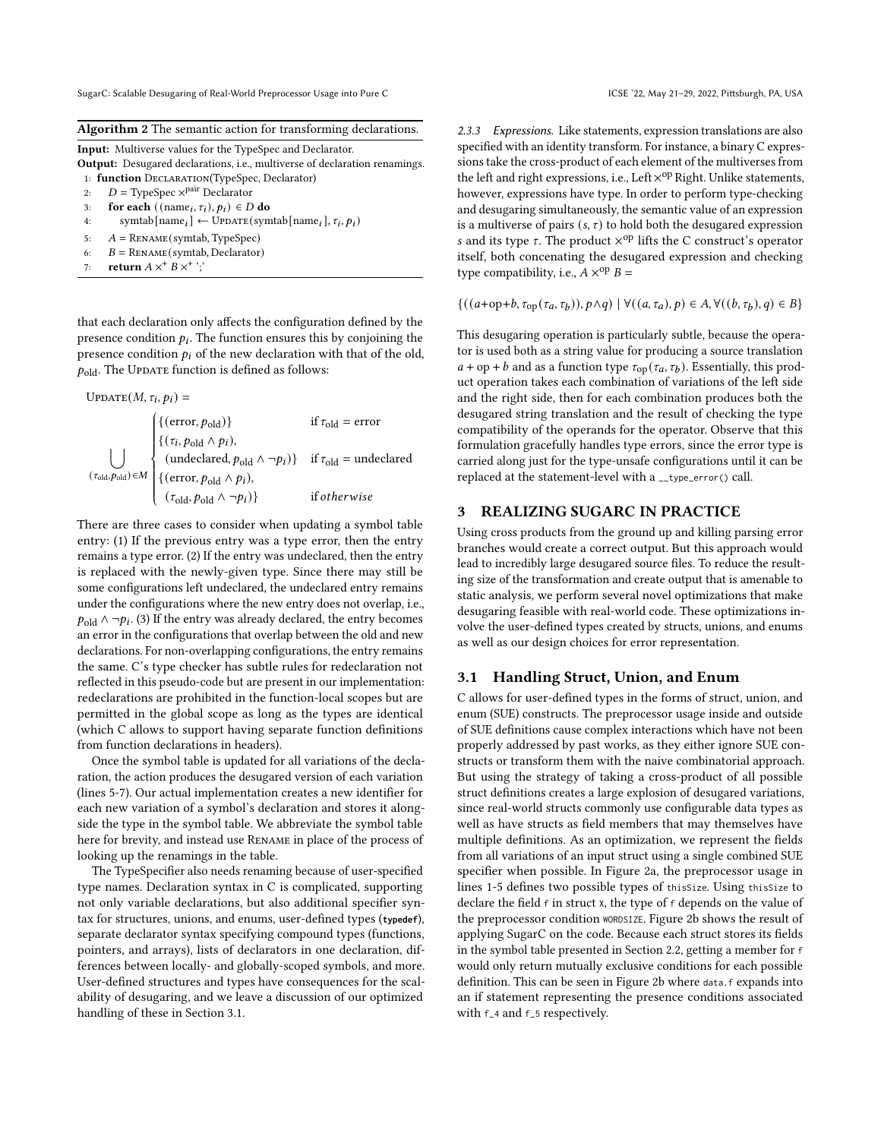#### <span id="page-4-1"></span>Algorithm 2 The semantic action for transforming declarations.

|    | <b>Input:</b> Multiverse values for the TypeSpec and Declarator.                             |
|----|----------------------------------------------------------------------------------------------|
|    | <b>Output:</b> Desugared declarations, <i>i.e.</i> , multiverse of declaration renamings.    |
|    | 1: <b>function</b> DECLARATION(TypeSpec, Declarator)                                         |
| 2: | $D = \text{TypeSpec } \times^{\text{pair}} \text{Declarator}$                                |
| 3: | for each ((name <sub>i</sub> , $\tau_i$ ), $p_i$ ) $\in$ D do                                |
| 4: | symtab $[\text{name}_i] \leftarrow \text{UPDATE}(\text{symbol}[\text{name}_i], \tau_i, p_i)$ |

- 5:  $A = \text{RENAME}(\text{symbol}, \text{TypeSpec})$
- 6:  $B = \text{RENAME}(\text{symbol}, \text{Declarator})$
- 7: return  $A \times^+ B \times^+$ ;

that each declaration only affects the configuration defined by the presence condition  $p_i$ . The function ensures this by conjoining the presence condition  $p_i$  of the new declaration with that of the old,  $p_{old}$ . The Update function is defined as follows:

$$
UPDATE(M, \tau_i, p_i) =
$$

 $\vert \ \ \vert$  $(\tau_{old}, \rho_{old}) \in M$  $\sqrt{\frac{1}{2}}$  $\begin{array}{c} \hline \end{array}$ J. {(error,  $p_{\text{old}}$ )} if  $\tau_{\text{old}}$  = error  $\{(\tau_i, p_{old} \wedge p_i),$ (undeclared,  $p_{old} \land \neg pi$ )} if  $\tau_{old}$  = undeclared {(error,  $p_{old} \wedge p_i$ ),  $(\tau_{old}, p_{old} \wedge \neg p_i)$  if otherwise

There are three cases to consider when updating a symbol table entry: (1) If the previous entry was a type error, then the entry remains a type error. (2) If the entry was undeclared, then the entry is replaced with the newly-given type. Since there may still be some configurations left undeclared, the undeclared entry remains under the configurations where the new entry does not overlap, i.e.,  $p_{old}$  ∧ ¬ $p_i$ . (3) If the entry was already declared, the entry becomes an error in the configurations that overlap between the old and new declarations. For non-overlapping configurations, the entry remains the same. C's type checker has subtle rules for redeclaration not reflected in this pseudo-code but are present in our implementation: redeclarations are prohibited in the function-local scopes but are permitted in the global scope as long as the types are identical (which C allows to support having separate function definitions from function declarations in headers).

Once the symbol table is updated for all variations of the declaration, the action produces the desugared version of each variation (lines 5-7). Our actual implementation creates a new identifier for each new variation of a symbol's declaration and stores it alongside the type in the symbol table. We abbreviate the symbol table here for brevity, and instead use Rename in place of the process of looking up the renamings in the table.

The TypeSpecifier also needs renaming because of user-specified type names. Declaration syntax in C is complicated, supporting not only variable declarations, but also additional specifier syntax for structures, unions, and enums, user-defined types (**typedef**), separate declarator syntax specifying compound types (functions, pointers, and arrays), lists of declarators in one declaration, differences between locally- and globally-scoped symbols, and more. User-defined structures and types have consequences for the scalability of desugaring, and we leave a discussion of our optimized handling of these in Section [3.1.](#page-4-2)

2.3.3 Expressions. Like statements, expression translations are also specified with an identity transform. For instance, a binary C expressions take the cross-product of each element of the multiverses from the left and right expressions, i.e., Left  $\times^\mathrm{op}$  Right. Unlike statements, however, expressions have type. In order to perform type-checking and desugaring simultaneously, the semantic value of an expression is a multiverse of pairs  $(s, \tau)$  to hold both the desugared expression s and its type  $\tau$ . The product  $\times^{op}$  lifts the C construct's operator itself, both concenating the desugared expression and checking type compatibility, i.e.,  $A \times^{op} B =$ 

 $\{((a+op+b, \tau_{op}(\tau_a, \tau_b)), p \wedge q) \mid \forall ((a, \tau_a), p) \in A, \forall ((b, \tau_b), q) \in B\}$ 

This desugaring operation is particularly subtle, because the operator is used both as a string value for producing a source translation  $a + op + b$  and as a function type  $\tau_{op}(\tau_a, \tau_b)$ . Essentially, this product operation takes each combination of variations of the left side and the right side, then for each combination produces both the desugared string translation and the result of checking the type compatibility of the operands for the operator. Observe that this formulation gracefully handles type errors, since the error type is carried along just for the type-unsafe configurations until it can be replaced at the statement-level with a \_\_type\_error() call.

#### <span id="page-4-0"></span>3 REALIZING SUGARC IN PRACTICE

Using cross products from the ground up and killing parsing error branches would create a correct output. But this approach would lead to incredibly large desugared source files. To reduce the resulting size of the transformation and create output that is amenable to static analysis, we perform several novel optimizations that make desugaring feasible with real-world code. These optimizations involve the user-defined types created by structs, unions, and enums as well as our design choices for error representation.

#### <span id="page-4-2"></span>3.1 Handling Struct, Union, and Enum

C allows for user-defined types in the forms of struct, union, and enum (SUE) constructs. The preprocessor usage inside and outside of SUE definitions cause complex interactions which have not been properly addressed by past works, as they either ignore SUE constructs or transform them with the naive combinatorial approach. But using the strategy of taking a cross-product of all possible struct definitions creates a large explosion of desugared variations, since real-world structs commonly use configurable data types as well as have structs as field members that may themselves have multiple definitions. As an optimization, we represent the fields from all variations of an input struct using a single combined SUE specifier when possible. In Figure [2a,](#page-5-0) the preprocessor usage in lines 1-5 defines two possible types of thisSize. Using thisSize to declare the field  $f$  in struct x, the type of  $f$  depends on the value of the preprocessor condition WORDSIZE. Figure [2b](#page-5-0) shows the result of applying SugarC on the code. Because each struct stores its fields in the symbol table presented in Section [2.2,](#page-2-0) getting a member for f would only return mutually exclusive conditions for each possible definition. This can be seen in Figure [2b](#page-5-0) where data.f expands into an if statement representing the presence conditions associated with f\_4 and f\_5 respectively.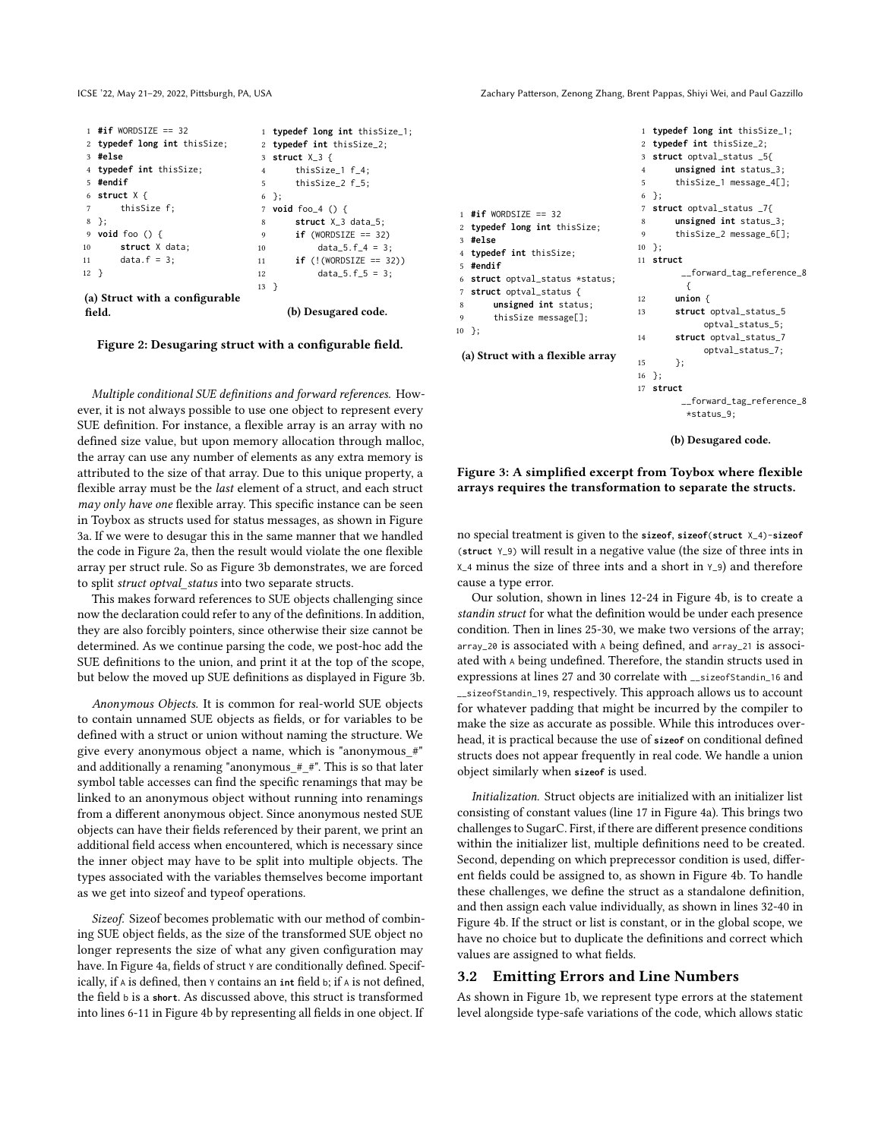<span id="page-5-0"></span>

|        | $1$ #if WORDSIZE == 32         |                | 1 typedef long int thisSize_1;      |
|--------|--------------------------------|----------------|-------------------------------------|
|        | 2 typedef long int thisSize;   |                | 2 typedef int thisSize_2;           |
|        | 3 #else                        |                | 3 struct $X_3$ {                    |
|        | 4 typedef int thisSize;        | $\overline{4}$ | thisSize_1 f_4;                     |
|        | 5 #endif                       |                | thisSize_2 f_5;<br>$5^{\circ}$      |
|        | 6 struct $X \{$                |                | $6$ };                              |
|        | 7 thisSize f;                  |                | 7 <b>void</b> foo $4()$ {           |
|        | $8$ };                         | 8              | struct $X_3$ data_5;                |
|        | 9 void foo $() \{$             | 9              | $if$ (WORDSIZE == 32)               |
|        | struct X data;                 | 10             | $data_5.f_4 = 3$ ;                  |
|        | 11 $data.f = 3;$               | 11 \           | <b>if</b> $(!$ (! (WORDSIZE == 32)) |
| $12$ } |                                | 12             | $data_5.f_5 = 3$ ;                  |
|        |                                | $13$ }         |                                     |
|        | (a) Struct with a configurable |                |                                     |
|        | field.                         |                | (b) Desugared code.                 |

Figure 2: Desugaring struct with a configurable field.

Multiple conditional SUE definitions and forward references. However, it is not always possible to use one object to represent every SUE definition. For instance, a flexible array is an array with no defined size value, but upon memory allocation through malloc, the array can use any number of elements as any extra memory is attributed to the size of that array. Due to this unique property, a flexible array must be the last element of a struct, and each struct may only have one flexible array. This specific instance can be seen in Toybox as structs used for status messages, as shown in Figure [3a.](#page-5-1) If we were to desugar this in the same manner that we handled the code in Figure [2a,](#page-5-0) then the result would violate the one flexible array per struct rule. So as Figure [3b](#page-5-1) demonstrates, we are forced to split struct optval\_status into two separate structs.

This makes forward references to SUE objects challenging since now the declaration could refer to any of the definitions. In addition, they are also forcibly pointers, since otherwise their size cannot be determined. As we continue parsing the code, we post-hoc add the SUE definitions to the union, and print it at the top of the scope, but below the moved up SUE definitions as displayed in Figure [3b.](#page-5-1)

Anonymous Objects. It is common for real-world SUE objects to contain unnamed SUE objects as fields, or for variables to be defined with a struct or union without naming the structure. We give every anonymous object a name, which is "anonymous\_#" and additionally a renaming "anonymous\_#\_#". This is so that later symbol table accesses can find the specific renamings that may be linked to an anonymous object without running into renamings from a different anonymous object. Since anonymous nested SUE objects can have their fields referenced by their parent, we print an additional field access when encountered, which is necessary since the inner object may have to be split into multiple objects. The types associated with the variables themselves become important as we get into sizeof and typeof operations.

Sizeof. Sizeof becomes problematic with our method of combining SUE object fields, as the size of the transformed SUE object no longer represents the size of what any given configuration may have. In Figure [4a,](#page-6-0) fields of struct Y are conditionally defined. Specifically, if A is defined, then Y contains an **int** field b; if A is not defined, the field b is a **short**. As discussed above, this struct is transformed into lines 6-11 in Figure [4b](#page-6-0) by representing all fields in one object. If

ICSE '22, May 21–29, 2022, Pittsburgh, PA, USA Zachary Patterson, Zenong Zhang, Brent Pappas, Shiyi Wei, and Paul Gazzillo

<span id="page-5-1"></span>

|                                  |                | 1 typedef long int thisSize_1;          |
|----------------------------------|----------------|-----------------------------------------|
|                                  |                | 2 typedef int thisSize_2;               |
|                                  |                | 3 struct optval_status _5{              |
|                                  | $\overline{4}$ | $unsigned int status_3;$                |
|                                  | 5              | thisSize_1 message_4[];                 |
|                                  |                | 6 };                                    |
| $1$ #if WORDSIZE == 32           |                | 7 struct optval_status _7{              |
| 2 typedef long int thisSize;     | 8              | $unsigned int status_3;$                |
| 3 #else                          | 9              | thisSize_2 message_6[];                 |
| 4 <b>typedef int</b> thisSize;   |                | $10$ };                                 |
| 5 #endif                         |                | 11 struct                               |
| 6 struct optval_status *status;  |                | __forward_tag_reference_8               |
| 7 struct optval_status {         |                | ſ                                       |
| unsigned int status;<br>8        | 12             | union $\{$                              |
| thisSize message[];<br>9         | 13             | struct optval_status_5                  |
| 0 };                             |                | optval_status_5;                        |
|                                  | 14             | struct optval_status_7                  |
| (a) Struct with a flexible array |                | optval_status_7;                        |
|                                  | 15             | }:                                      |
|                                  | 16             | $\}$ ;                                  |
|                                  | 17             | struct                                  |
|                                  |                | __forward_tag_reference_8<br>*status_9; |
|                                  |                |                                         |

 $10$ 

(b) Desugared code.

Figure 3: A simplified excerpt from Toybox where flexible arrays requires the transformation to separate the structs.

no special treatment is given to the **sizeof**, **sizeof**(**struct** X\_4)-**sizeof** (**struct** Y\_9) will result in a negative value (the size of three ints in X\_4 minus the size of three ints and a short in Y\_9) and therefore cause a type error.

Our solution, shown in lines 12-24 in Figure [4b,](#page-6-0) is to create a standin struct for what the definition would be under each presence condition. Then in lines 25-30, we make two versions of the array; array\_20 is associated with A being defined, and array\_21 is associated with A being undefined. Therefore, the standin structs used in expressions at lines 27 and 30 correlate with \_\_sizeofStandin\_16 and \_\_sizeofStandin\_19, respectively. This approach allows us to account for whatever padding that might be incurred by the compiler to make the size as accurate as possible. While this introduces overhead, it is practical because the use of **sizeof** on conditional defined structs does not appear frequently in real code. We handle a union object similarly when **sizeof** is used.

Initialization. Struct objects are initialized with an initializer list consisting of constant values (line 17 in Figure [4a\)](#page-6-0). This brings two challenges to SugarC. First, if there are different presence conditions within the initializer list, multiple definitions need to be created. Second, depending on which preprecessor condition is used, different fields could be assigned to, as shown in Figure [4b.](#page-6-0) To handle these challenges, we define the struct as a standalone definition, and then assign each value individually, as shown in lines 32-40 in Figure [4b.](#page-6-0) If the struct or list is constant, or in the global scope, we have no choice but to duplicate the definitions and correct which values are assigned to what fields.

#### 3.2 Emitting Errors and Line Numbers

As shown in Figure [1b,](#page-1-1) we represent type errors at the statement level alongside type-safe variations of the code, which allows static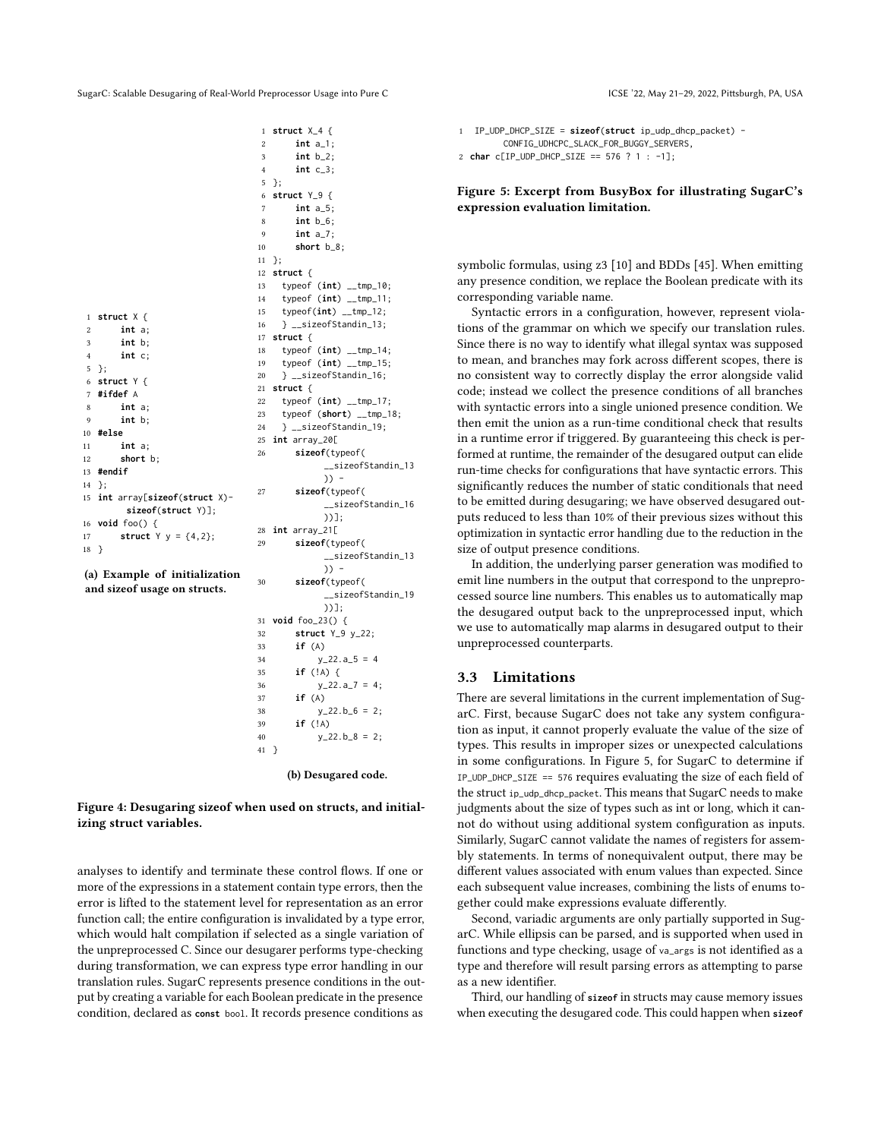<span id="page-6-0"></span>

|                |                               | 1              | struct $X_4$ {         |
|----------------|-------------------------------|----------------|------------------------|
|                |                               | 2              | int $a_1$ ;            |
|                |                               | 3              | $int b_2;$             |
|                |                               | $\overline{4}$ | $int c_3;$             |
|                |                               | 5              | };                     |
|                |                               | 6              | struct $Y_9$ {         |
|                |                               | $\overline{7}$ | int $a_5$ ;            |
|                |                               | 8              | $int b_6;$             |
|                |                               | 9              | int $a_7$ ;            |
|                |                               | 10             | short $b_8$ ;          |
|                |                               | 11             | };                     |
|                |                               | 12             | struct $\{$            |
|                |                               | 13             | typeof $(int)$ __tmp   |
|                |                               | 14             | typeof (int) __tmp     |
| $\mathbf{1}$   | struct $X \{$                 | 15             | typeof(int) __tmp_     |
| $\overline{c}$ | int a;                        | 16             | } __sizeofStandin_     |
| 3              | int b;                        | 17             | struct {               |
| $\overline{4}$ | int c                         | 18             | typeof (int) __tmp     |
| 5              | };                            | 19             | typeof (int) __tmp     |
| 6              | struct $Y \{$                 | 20             | } __sizeofStandin_     |
| $\overline{7}$ | #ifdef A                      | 21             | struct $\{$            |
| 8              | int a;                        | 22             | typeof $(int)$ __tmp   |
| 9              | int b;                        | 23             | typeof (short) $-t$    |
| 10             | #else                         | 24             | } __sizeofStandin_     |
| 11             | int a;                        | 25             | int array_20[          |
| 12             | short b:                      | 26             | sizeof(typeof(         |
| 13             | #endif                        |                | $_{-}$ sizeofS         |
| 14             | };                            |                | $)$ ) -                |
| 15             | int array[sizeof(struct X)-   | 27             | sizeof(typeof(         |
|                | $sizeof(struct Y)]$ ;         |                | $_{-}$ sizeofS         |
| 16             | void foo() $\{$               |                | $)$ )];                |
| 17             | struct $Y = \{4, 2\};$        | 28             | int array_21[          |
| 18             | €                             | 29             | sizeof(typeof(         |
|                |                               |                | __sizeofS <sup>-</sup> |
|                | (a) Example of initialization |                | $)$ ) -                |
|                | and size of usage on structs. | 30             | sizeof(typeof(         |
|                |                               |                | $_{-}$ sizeofS         |
|                |                               |                | $\mathcal{L}$          |

```
10:\_11;
                    12;
16 } __sizeofStandin_13;
                    -14;15:16;
                    -17;mp_18;24 } __sizeofStandin_19;
                    tandin 13
                    tandin 16
                    tandin_13
                   tandin_19
           ))];
31 void foo_23() {
32 struct Y_9 y_22;
33 if (A)
y_22.a_5 = 435 if (!A) {
36 y_2 22.a 7 = 4;
37 if (A)
38 y_2 22.b 6 = 2;
39 if (!A)
40 y_22.5_8 = 2;
41 }
     (b) Desugared code.
```
#### Figure 4: Desugaring sizeof when used on structs, and initializing struct variables.

analyses to identify and terminate these control flows. If one or more of the expressions in a statement contain type errors, then the error is lifted to the statement level for representation as an error function call; the entire configuration is invalidated by a type error, which would halt compilation if selected as a single variation of the unpreprocessed C. Since our desugarer performs type-checking during transformation, we can express type error handling in our translation rules. SugarC represents presence conditions in the output by creating a variable for each Boolean predicate in the presence condition, declared as **const** bool. It records presence conditions as

```
1 IP_UDP_DHCP_SIZE = sizeof(struct ip_udp_dhcp_packet) -
        CONFIG_UDHCPC_SLACK_FOR_BUGGY_SERVERS,
2 char c[IP_UDP_DHCP_SIZE == 576 ? 1 : -1];
```
#### Figure 5: Excerpt from BusyBox for illustrating SugarC's expression evaluation limitation.

symbolic formulas, using z3 [\[10\]](#page-10-5) and BDDs [\[45\]](#page-11-21). When emitting any presence condition, we replace the Boolean predicate with its corresponding variable name.

Syntactic errors in a configuration, however, represent violations of the grammar on which we specify our translation rules. Since there is no way to identify what illegal syntax was supposed to mean, and branches may fork across different scopes, there is no consistent way to correctly display the error alongside valid code; instead we collect the presence conditions of all branches with syntactic errors into a single unioned presence condition. We then emit the union as a run-time conditional check that results in a runtime error if triggered. By guaranteeing this check is performed at runtime, the remainder of the desugared output can elide run-time checks for configurations that have syntactic errors. This significantly reduces the number of static conditionals that need to be emitted during desugaring; we have observed desugared outputs reduced to less than 10% of their previous sizes without this optimization in syntactic error handling due to the reduction in the size of output presence conditions.

In addition, the underlying parser generation was modified to emit line numbers in the output that correspond to the unpreprocessed source line numbers. This enables us to automatically map the desugared output back to the unpreprocessed input, which we use to automatically map alarms in desugared output to their unpreprocessed counterparts.

#### <span id="page-6-2"></span>3.3 Limitations

There are several limitations in the current implementation of SugarC. First, because SugarC does not take any system configuration as input, it cannot properly evaluate the value of the size of types. This results in improper sizes or unexpected calculations in some configurations. In Figure [5,](#page-6-1) for SugarC to determine if IP\_UDP\_DHCP\_SIZE == 576 requires evaluating the size of each field of the struct ip\_udp\_dhcp\_packet. This means that SugarC needs to make judgments about the size of types such as int or long, which it cannot do without using additional system configuration as inputs. Similarly, SugarC cannot validate the names of registers for assembly statements. In terms of nonequivalent output, there may be different values associated with enum values than expected. Since each subsequent value increases, combining the lists of enums together could make expressions evaluate differently.

Second, variadic arguments are only partially supported in SugarC. While ellipsis can be parsed, and is supported when used in functions and type checking, usage of va\_args is not identified as a type and therefore will result parsing errors as attempting to parse as a new identifier.

Third, our handling of **sizeof** in structs may cause memory issues when executing the desugared code. This could happen when **sizeof**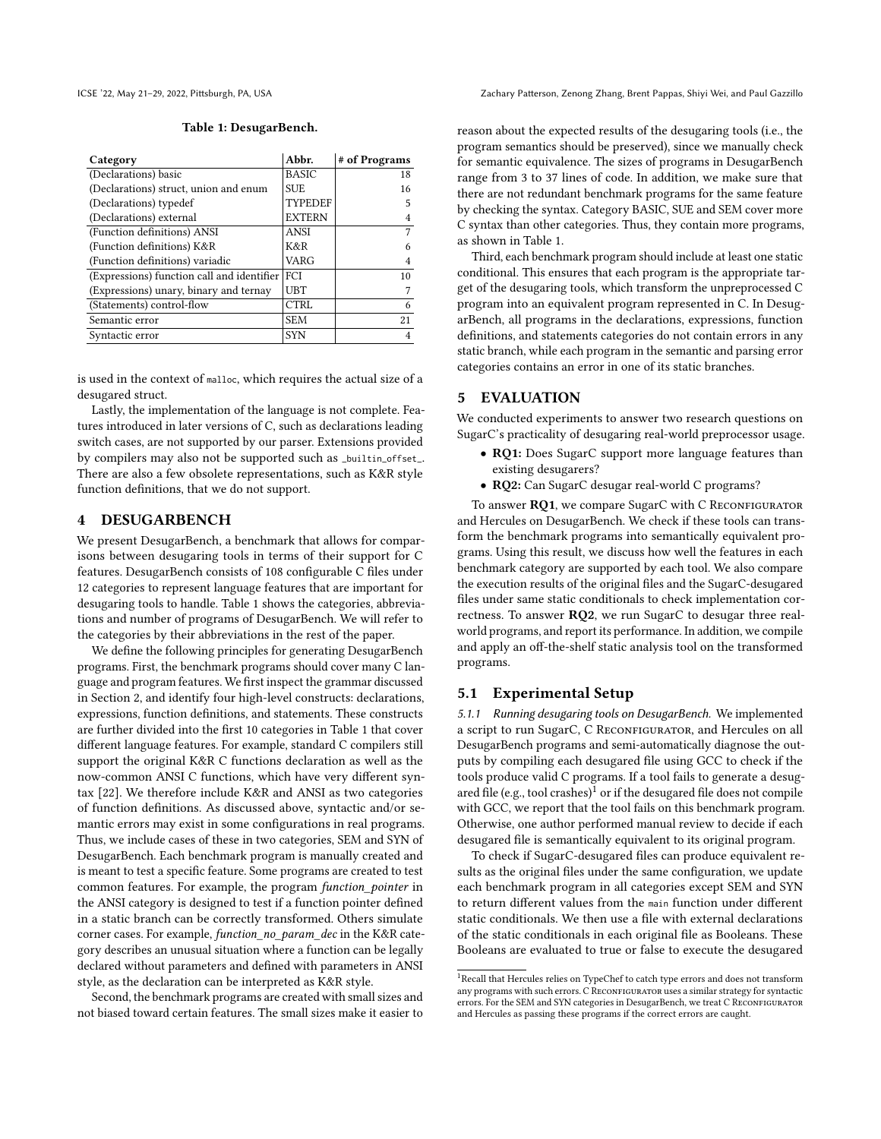<span id="page-7-2"></span>

#### Table 1: DesugarBench.

| Category                                   | Abbr.          | # of Programs |
|--------------------------------------------|----------------|---------------|
| (Declarations) basic                       | <b>BASIC</b>   | 18            |
| (Declarations) struct, union and enum      | <b>SUE</b>     | 16            |
| (Declarations) typedef                     | <b>TYPEDEF</b> | 5             |
| (Declarations) external                    | <b>EXTERN</b>  |               |
| (Function definitions) ANSI                | <b>ANSI</b>    | 7             |
| (Function definitions) K&R                 | K&R            | 6             |
| (Function definitions) variadic            | VARG           |               |
| (Expressions) function call and identifier | FCI            | 10            |
| (Expressions) unary, binary and ternay     | <b>UBT</b>     |               |
| (Statements) control-flow                  | CTRL           | 6             |
| Semantic error                             | <b>SEM</b>     | 21            |
| Syntactic error                            | <b>SYN</b>     |               |

is used in the context of malloc, which requires the actual size of a desugared struct.

Lastly, the implementation of the language is not complete. Features introduced in later versions of C, such as declarations leading switch cases, are not supported by our parser. Extensions provided by compilers may also not be supported such as \_builtin\_offset\_. There are also a few obsolete representations, such as K&R style function definitions, that we do not support.

## <span id="page-7-0"></span>4 DESUGARBENCH

We present DesugarBench, a benchmark that allows for comparisons between desugaring tools in terms of their support for C features. DesugarBench consists of 108 configurable C files under 12 categories to represent language features that are important for desugaring tools to handle. Table [1](#page-7-2) shows the categories, abbreviations and number of programs of DesugarBench. We will refer to the categories by their abbreviations in the rest of the paper.

We define the following principles for generating DesugarBench programs. First, the benchmark programs should cover many C language and program features. We first inspect the grammar discussed in Section [2,](#page-1-0) and identify four high-level constructs: declarations, expressions, function definitions, and statements. These constructs are further divided into the first 10 categories in Table [1](#page-7-2) that cover different language features. For example, standard C compilers still support the original K&R C functions declaration as well as the now-common ANSI C functions, which have very different syntax [\[22\]](#page-11-15). We therefore include K&R and ANSI as two categories of function definitions. As discussed above, syntactic and/or semantic errors may exist in some configurations in real programs. Thus, we include cases of these in two categories, SEM and SYN of DesugarBench. Each benchmark program is manually created and is meant to test a specific feature. Some programs are created to test common features. For example, the program function\_pointer in the ANSI category is designed to test if a function pointer defined in a static branch can be correctly transformed. Others simulate corner cases. For example, function\_no\_param\_dec in the K&R category describes an unusual situation where a function can be legally declared without parameters and defined with parameters in ANSI style, as the declaration can be interpreted as K&R style.

Second, the benchmark programs are created with small sizes and not biased toward certain features. The small sizes make it easier to

ICSE '22, May 21–29, 2022, Pittsburgh, PA, USA Zachary Patterson, Zenong Zhang, Brent Pappas, Shiyi Wei, and Paul Gazzillo

reason about the expected results of the desugaring tools (i.e., the program semantics should be preserved), since we manually check for semantic equivalence. The sizes of programs in DesugarBench range from 3 to 37 lines of code. In addition, we make sure that there are not redundant benchmark programs for the same feature by checking the syntax. Category BASIC, SUE and SEM cover more C syntax than other categories. Thus, they contain more programs, as shown in Table [1.](#page-7-2)

Third, each benchmark program should include at least one static conditional. This ensures that each program is the appropriate target of the desugaring tools, which transform the unpreprocessed C program into an equivalent program represented in C. In DesugarBench, all programs in the declarations, expressions, function definitions, and statements categories do not contain errors in any static branch, while each program in the semantic and parsing error categories contains an error in one of its static branches.

#### <span id="page-7-1"></span>5 EVALUATION

We conducted experiments to answer two research questions on SugarC's practicality of desugaring real-world preprocessor usage.

- RQ1: Does SugarC support more language features than existing desugarers?
- RQ2: Can SugarC desugar real-world C programs?

To answer RQ1, we compare SugarC with C RECONFIGURATOR and Hercules on DesugarBench. We check if these tools can transform the benchmark programs into semantically equivalent programs. Using this result, we discuss how well the features in each benchmark category are supported by each tool. We also compare the execution results of the original files and the SugarC-desugared files under same static conditionals to check implementation correctness. To answer RQ2, we run SugarC to desugar three realworld programs, and report its performance. In addition, we compile and apply an off-the-shelf static analysis tool on the transformed programs.

## 5.1 Experimental Setup

5.1.1 Running desugaring tools on DesugarBench. We implemented a script to run SugarC, C RECONFIGURATOR, and Hercules on all DesugarBench programs and semi-automatically diagnose the outputs by compiling each desugared file using GCC to check if the tools produce valid C programs. If a tool fails to generate a desug-ared file (e.g., tool crashes)<sup>[1](#page-7-3)</sup> or if the desugared file does not compile with GCC, we report that the tool fails on this benchmark program. Otherwise, one author performed manual review to decide if each desugared file is semantically equivalent to its original program.

To check if SugarC-desugared files can produce equivalent results as the original files under the same configuration, we update each benchmark program in all categories except SEM and SYN to return different values from the main function under different static conditionals. We then use a file with external declarations of the static conditionals in each original file as Booleans. These Booleans are evaluated to true or false to execute the desugared

<span id="page-7-3"></span> $^1\!$  Recall that Hercules relies on TypeChef to catch type errors and does not transform any programs with such errors. C RECONFIGURATOR uses a similar strategy for syntactic errors. For the SEM and SYN categories in DesugarBench, we treat C RECONFIGURATOR and Hercules as passing these programs if the correct errors are caught.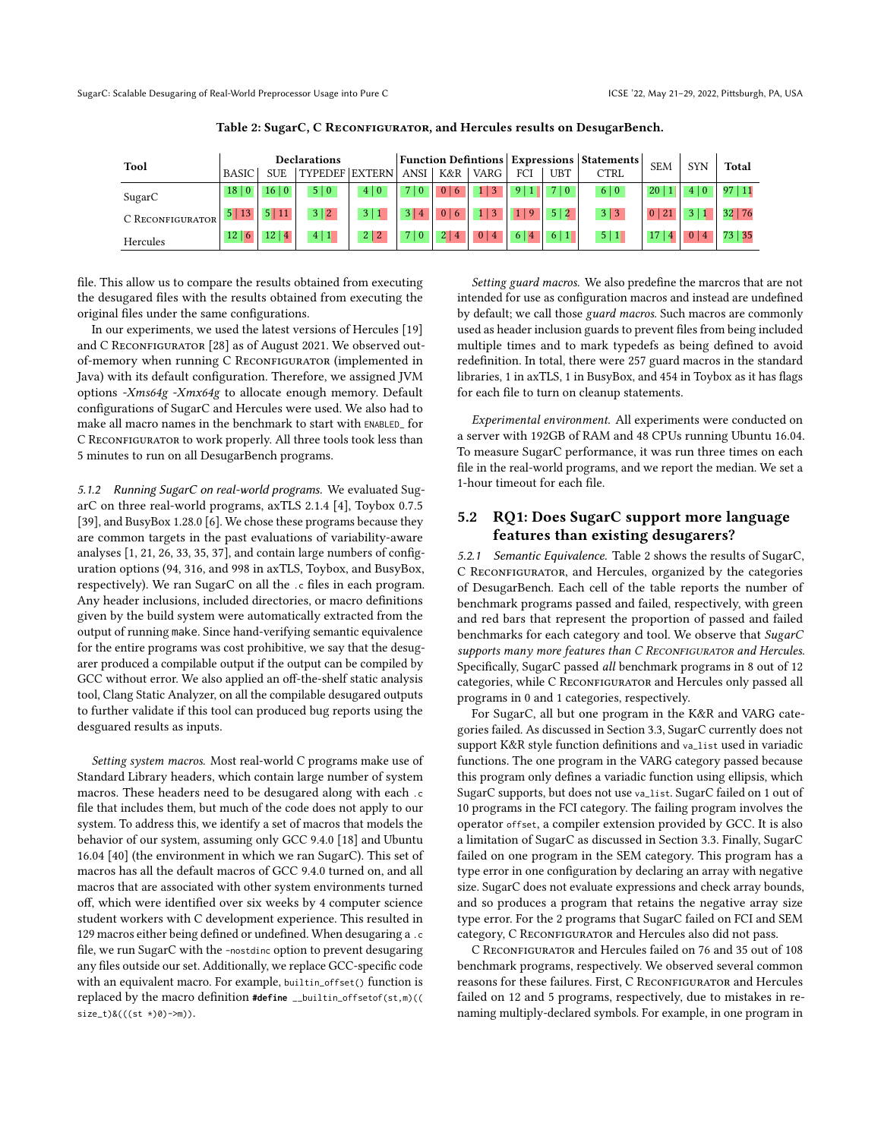<span id="page-8-0"></span>

| <b>Tool</b>      | Declarations             |                       |                       | <b>Function Defintions Expressions Statements</b> |                   |                |                     |                      |            | <b>SEM</b>  | <b>SYN</b>            | <b>Total</b>   |         |
|------------------|--------------------------|-----------------------|-----------------------|---------------------------------------------------|-------------------|----------------|---------------------|----------------------|------------|-------------|-----------------------|----------------|---------|
|                  | <b>BASIC</b>             | <b>SUE</b>            | <b>TYPEDEF EXTERN</b> |                                                   | ANSI <sup>1</sup> | K&R            | VARG                | FCI                  | <b>UBT</b> | <b>CTRL</b> |                       |                |         |
| SugarC           | 18 0                     | 16 0                  | 5 0                   | 4 0                                               | $\mathbf{0}$      | 0 <br>  6      |                     |                      | 7 0        | 6 0         | 20                    | 4 0            | 97 11   |
| C RECONFIGURATOR | 5 13                     | 5 11                  | 3 2                   | 3 1                                               | 4                 | 0 <br>$\sigma$ |                     | $\overline{9}$       | 5 2        | 3 3         | 21<br>$\vert 0 \vert$ |                | 32 76   |
| Hercules         | 12 <sup>1</sup><br>l 6 l | 12<br>$\vert 4 \vert$ | 4 1                   | 2 2                                               | $\mathbf{0}$      |                | 0 <sup>1</sup><br>4 | 6<br>$\vert 4 \vert$ | 6 1        | 5 1         |                       | $\overline{4}$ | 73   35 |

Table 2: SugarC, C RECONFIGURATOR, and Hercules results on DesugarBench.

file. This allow us to compare the results obtained from executing the desugared files with the results obtained from executing the original files under the same configurations.

In our experiments, we used the latest versions of Hercules [\[19\]](#page-11-22) and C RECONFIGURATOR [\[28\]](#page-11-23) as of August 2021. We observed outof-memory when running C RECONFIGURATOR (implemented in Java) with its default configuration. Therefore, we assigned JVM options -Xms64g -Xmx64g to allocate enough memory. Default configurations of SugarC and Hercules were used. We also had to make all macro names in the benchmark to start with ENABLED\_ for C RECONFIGURATOR to work properly. All three tools took less than 5 minutes to run on all DesugarBench programs.

5.1.2 Running SugarC on real-world programs. We evaluated SugarC on three real-world programs, axTLS 2.1.4 [\[4\]](#page-10-6), Toybox 0.7.5 [\[39\]](#page-11-24), and BusyBox 1.28.0 [\[6\]](#page-10-7). We chose these programs because they are common targets in the past evaluations of variability-aware analyses [\[1,](#page-10-0) [21,](#page-11-10) [26,](#page-11-7) [33,](#page-11-3) [35,](#page-11-25) [37\]](#page-11-26), and contain large numbers of configuration options (94, 316, and 998 in axTLS, Toybox, and BusyBox, respectively). We ran SugarC on all the .c files in each program. Any header inclusions, included directories, or macro definitions given by the build system were automatically extracted from the output of running make. Since hand-verifying semantic equivalence for the entire programs was cost prohibitive, we say that the desugarer produced a compilable output if the output can be compiled by GCC without error. We also applied an off-the-shelf static analysis tool, Clang Static Analyzer, on all the compilable desugared outputs to further validate if this tool can produced bug reports using the desguared results as inputs.

Setting system macros. Most real-world C programs make use of Standard Library headers, which contain large number of system macros. These headers need to be desugared along with each .c file that includes them, but much of the code does not apply to our system. To address this, we identify a set of macros that models the behavior of our system, assuming only GCC 9.4.0 [\[18\]](#page-11-27) and Ubuntu 16.04 [\[40\]](#page-11-28) (the environment in which we ran SugarC). This set of macros has all the default macros of GCC 9.4.0 turned on, and all macros that are associated with other system environments turned off, which were identified over six weeks by 4 computer science student workers with C development experience. This resulted in 129 macros either being defined or undefined. When desugaring a .c file, we run SugarC with the -nostdinc option to prevent desugaring any files outside our set. Additionally, we replace GCC-specific code with an equivalent macro. For example, builtin\_offset() function is replaced by the macro definition **#define** \_\_builtin\_offsetof(st,m)(( size\_t)&(((st \*)0)->m)).

Setting guard macros. We also predefine the marcros that are not intended for use as configuration macros and instead are undefined by default; we call those guard macros. Such macros are commonly used as header inclusion guards to prevent files from being included multiple times and to mark typedefs as being defined to avoid redefinition. In total, there were 257 guard macros in the standard libraries, 1 in axTLS, 1 in BusyBox, and 454 in Toybox as it has flags for each file to turn on cleanup statements.

Experimental environment. All experiments were conducted on a server with 192GB of RAM and 48 CPUs running Ubuntu 16.04. To measure SugarC performance, it was run three times on each file in the real-world programs, and we report the median. We set a 1-hour timeout for each file.

# <span id="page-8-1"></span>5.2 RQ1: Does SugarC support more language features than existing desugarers?

5.2.1 Semantic Equivalence. Table [2](#page-8-0) shows the results of SugarC, C RECONFIGURATOR, and Hercules, organized by the categories of DesugarBench. Each cell of the table reports the number of benchmark programs passed and failed, respectively, with green and red bars that represent the proportion of passed and failed benchmarks for each category and tool. We observe that SugarC supports many more features than C RECONFIGURATOR and Hercules. Specifically, SugarC passed all benchmark programs in 8 out of 12 categories, while C RECONFIGURATOR and Hercules only passed all programs in 0 and 1 categories, respectively.

For SugarC, all but one program in the K&R and VARG categories failed. As discussed in Section [3.3,](#page-6-2) SugarC currently does not support K&R style function definitions and va\_list used in variadic functions. The one program in the VARG category passed because this program only defines a variadic function using ellipsis, which SugarC supports, but does not use va\_list. SugarC failed on 1 out of 10 programs in the FCI category. The failing program involves the operator offset, a compiler extension provided by GCC. It is also a limitation of SugarC as discussed in Section [3.3.](#page-6-2) Finally, SugarC failed on one program in the SEM category. This program has a type error in one configuration by declaring an array with negative size. SugarC does not evaluate expressions and check array bounds, and so produces a program that retains the negative array size type error. For the 2 programs that SugarC failed on FCI and SEM category, C RECONFIGURATOR and Hercules also did not pass.

C RECONFIGURATOR and Hercules failed on 76 and 35 out of 108 benchmark programs, respectively. We observed several common reasons for these failures. First, C RECONFIGURATOR and Hercules failed on 12 and 5 programs, respectively, due to mistakes in renaming multiply-declared symbols. For example, in one program in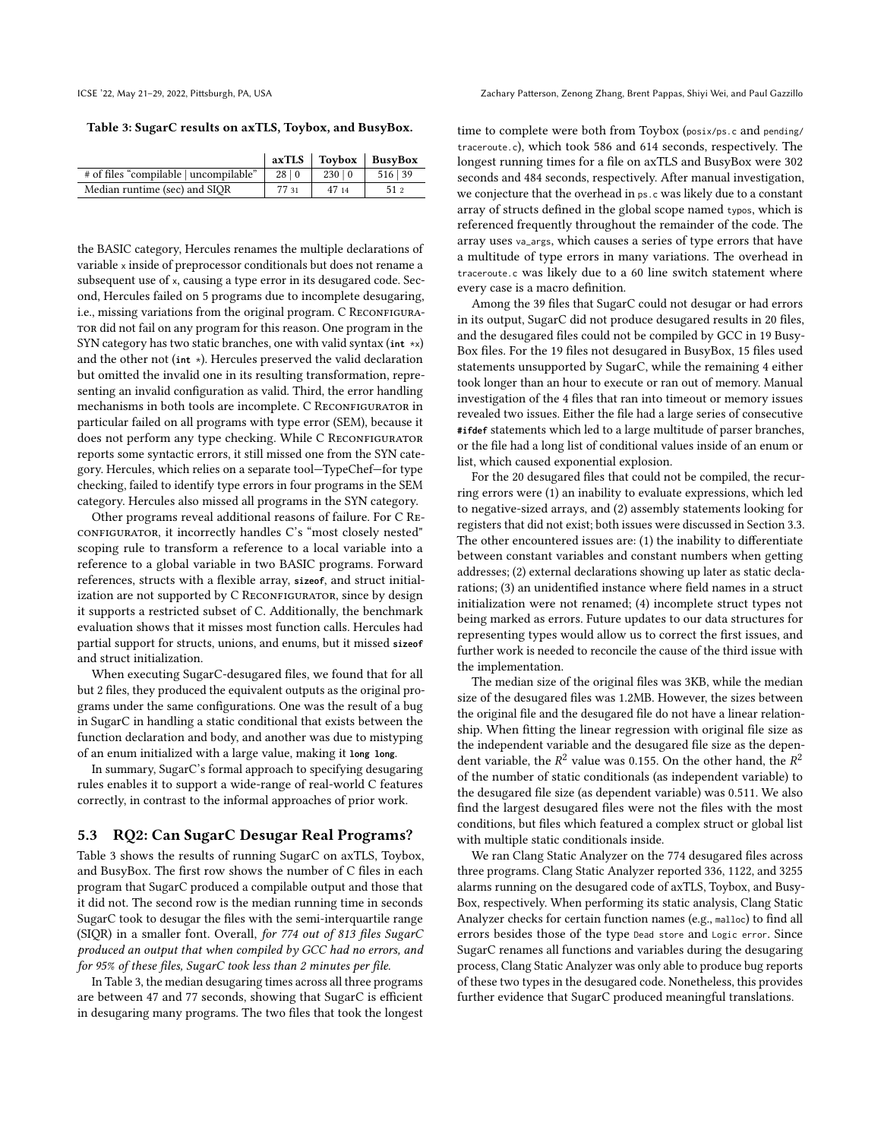ICSE '22, May 21–29, 2022, Pittsburgh, PA, USA Zachary Patterson, Zenong Zhang, Brent Pappas, Shiyi Wei, and Paul Gazzillo

<span id="page-9-0"></span>Table 3: SugarC results on axTLS, Toybox, and BusyBox.

|                                        |       |       | $axTLS$   Toybox   BusyBox |
|----------------------------------------|-------|-------|----------------------------|
| # of files "compilable   uncompilable" | 28 0  | 230 0 | 516 39                     |
| Median runtime (sec) and SIOR          | 77 31 | 47 14 |                            |

the BASIC category, Hercules renames the multiple declarations of variable x inside of preprocessor conditionals but does not rename a subsequent use of x, causing a type error in its desugared code. Second, Hercules failed on 5 programs due to incomplete desugaring, i.e., missing variations from the original program. C RECONFIGURAtor did not fail on any program for this reason. One program in the SYN category has two static branches, one with valid syntax (**int** \*x) and the other not (**int** \*). Hercules preserved the valid declaration but omitted the invalid one in its resulting transformation, representing an invalid configuration as valid. Third, the error handling mechanisms in both tools are incomplete. C RECONFIGURATOR in particular failed on all programs with type error (SEM), because it does not perform any type checking. While C RECONFIGURATOR reports some syntactic errors, it still missed one from the SYN category. Hercules, which relies on a separate tool—TypeChef—for type checking, failed to identify type errors in four programs in the SEM category. Hercules also missed all programs in the SYN category.

Other programs reveal additional reasons of failure. For C Reconfigurator, it incorrectly handles C's "most closely nested" scoping rule to transform a reference to a local variable into a reference to a global variable in two BASIC programs. Forward references, structs with a flexible array, **sizeof**, and struct initialization are not supported by C RECONFIGURATOR, since by design it supports a restricted subset of C. Additionally, the benchmark evaluation shows that it misses most function calls. Hercules had partial support for structs, unions, and enums, but it missed **sizeof** and struct initialization.

When executing SugarC-desugared files, we found that for all but 2 files, they produced the equivalent outputs as the original programs under the same configurations. One was the result of a bug in SugarC in handling a static conditional that exists between the function declaration and body, and another was due to mistyping of an enum initialized with a large value, making it **long long**.

In summary, SugarC's formal approach to specifying desugaring rules enables it to support a wide-range of real-world C features correctly, in contrast to the informal approaches of prior work.

#### 5.3 RQ2: Can SugarC Desugar Real Programs?

Table [3](#page-9-0) shows the results of running SugarC on axTLS, Toybox, and BusyBox. The first row shows the number of C files in each program that SugarC produced a compilable output and those that it did not. The second row is the median running time in seconds SugarC took to desugar the files with the semi-interquartile range (SIQR) in a smaller font. Overall, for 774 out of 813 files SugarC produced an output that when compiled by GCC had no errors, and for 95% of these files, SugarC took less than 2 minutes per file.

In Table [3,](#page-9-0) the median desugaring times across all three programs are between 47 and 77 seconds, showing that SugarC is efficient in desugaring many programs. The two files that took the longest time to complete were both from Toybox (posix/ps.c and pending/ traceroute.c), which took 586 and 614 seconds, respectively. The longest running times for a file on axTLS and BusyBox were 302 seconds and 484 seconds, respectively. After manual investigation, we conjecture that the overhead in ps.c was likely due to a constant array of structs defined in the global scope named typos, which is referenced frequently throughout the remainder of the code. The array uses va\_args, which causes a series of type errors that have a multitude of type errors in many variations. The overhead in traceroute.c was likely due to a 60 line switch statement where every case is a macro definition.

Among the 39 files that SugarC could not desugar or had errors in its output, SugarC did not produce desugared results in 20 files, and the desugared files could not be compiled by GCC in 19 Busy-Box files. For the 19 files not desugared in BusyBox, 15 files used statements unsupported by SugarC, while the remaining 4 either took longer than an hour to execute or ran out of memory. Manual investigation of the 4 files that ran into timeout or memory issues revealed two issues. Either the file had a large series of consecutive **#ifdef** statements which led to a large multitude of parser branches, or the file had a long list of conditional values inside of an enum or list, which caused exponential explosion.

For the 20 desugared files that could not be compiled, the recurring errors were (1) an inability to evaluate expressions, which led to negative-sized arrays, and (2) assembly statements looking for registers that did not exist; both issues were discussed in Section [3.3.](#page-6-2) The other encountered issues are: (1) the inability to differentiate between constant variables and constant numbers when getting addresses; (2) external declarations showing up later as static declarations; (3) an unidentified instance where field names in a struct initialization were not renamed; (4) incomplete struct types not being marked as errors. Future updates to our data structures for representing types would allow us to correct the first issues, and further work is needed to reconcile the cause of the third issue with the implementation.

The median size of the original files was 3KB, while the median size of the desugared files was 1.2MB. However, the sizes between the original file and the desugared file do not have a linear relationship. When fitting the linear regression with original file size as the independent variable and the desugared file size as the dependent variable, the  $R^2$  value was 0.155. On the other hand, the  $R^2$ of the number of static conditionals (as independent variable) to the desugared file size (as dependent variable) was 0.511. We also find the largest desugared files were not the files with the most conditions, but files which featured a complex struct or global list with multiple static conditionals inside.

We ran Clang Static Analyzer on the 774 desugared files across three programs. Clang Static Analyzer reported 336, 1122, and 3255 alarms running on the desugared code of axTLS, Toybox, and Busy-Box, respectively. When performing its static analysis, Clang Static Analyzer checks for certain function names (e.g., malloc) to find all errors besides those of the type Dead store and Logic error. Since SugarC renames all functions and variables during the desugaring process, Clang Static Analyzer was only able to produce bug reports of these two types in the desugared code. Nonetheless, this provides further evidence that SugarC produced meaningful translations.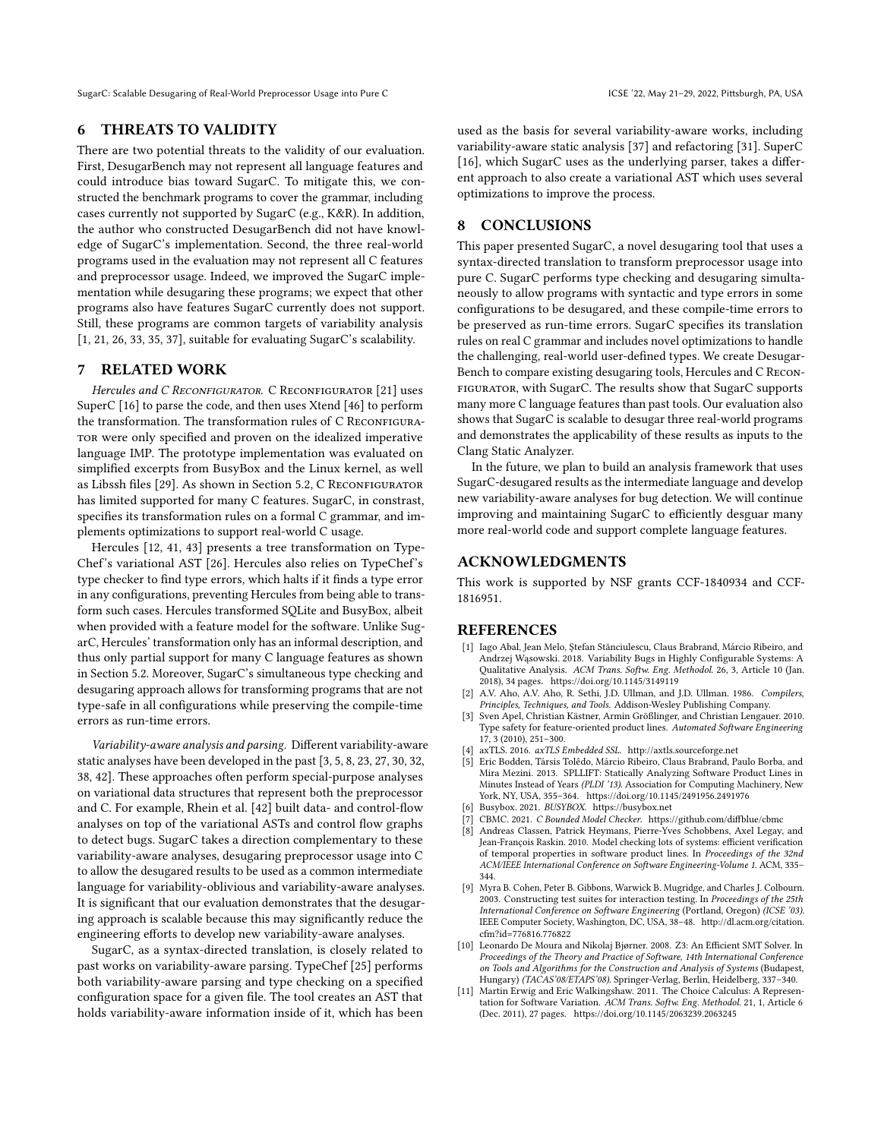#### 6 THREATS TO VALIDITY

There are two potential threats to the validity of our evaluation. First, DesugarBench may not represent all language features and could introduce bias toward SugarC. To mitigate this, we constructed the benchmark programs to cover the grammar, including cases currently not supported by SugarC (e.g., K&R). In addition, the author who constructed DesugarBench did not have knowledge of SugarC's implementation. Second, the three real-world programs used in the evaluation may not represent all C features and preprocessor usage. Indeed, we improved the SugarC implementation while desugaring these programs; we expect that other programs also have features SugarC currently does not support. Still, these programs are common targets of variability analysis [\[1,](#page-10-0) [21,](#page-11-10) [26,](#page-11-7) [33,](#page-11-3) [35,](#page-11-25) [37\]](#page-11-26), suitable for evaluating SugarC's scalability.

#### 7 RELATED WORK

Hercules and C RECONFIGURATOR. C RECONFIGURATOR [\[21\]](#page-11-10) uses SuperC [\[16\]](#page-11-5) to parse the code, and then uses Xtend [\[46\]](#page-11-29) to perform the transformation. The transformation rules of C RECONFIGURAtor were only specified and proven on the idealized imperative language IMP. The prototype implementation was evaluated on simplified excerpts from BusyBox and the Linux kernel, as well as Libssh files [\[29\]](#page-11-30). As shown in Section [5.2,](#page-8-1) C RECONFIGURATOR has limited supported for many C features. SugarC, in constrast, specifies its transformation rules on a formal C grammar, and implements optimizations to support real-world C usage.

Hercules [\[12,](#page-11-11) [41,](#page-11-12) [43\]](#page-11-13) presents a tree transformation on Type-Chef's variational AST [\[26\]](#page-11-7). Hercules also relies on TypeChef's type checker to find type errors, which halts if it finds a type error in any configurations, preventing Hercules from being able to transform such cases. Hercules transformed SQLite and BusyBox, albeit when provided with a feature model for the software. Unlike SugarC, Hercules' transformation only has an informal description, and thus only partial support for many C language features as shown in Section [5.2.](#page-8-1) Moreover, SugarC's simultaneous type checking and desugaring approach allows for transforming programs that are not type-safe in all configurations while preserving the compile-time errors as run-time errors.

Variability-aware analysis and parsing. Different variability-aware static analyses have been developed in the past [\[3,](#page-10-8) [5,](#page-10-9) [8,](#page-10-10) [23,](#page-11-31) [27,](#page-11-32) [30,](#page-11-33) [32,](#page-11-34) [38,](#page-11-35) [42\]](#page-11-8). These approaches often perform special-purpose analyses on variational data structures that represent both the preprocessor and C. For example, Rhein et al. [\[42\]](#page-11-8) built data- and control-flow analyses on top of the variational ASTs and control flow graphs to detect bugs. SugarC takes a direction complementary to these variability-aware analyses, desugaring preprocessor usage into C to allow the desugared results to be used as a common intermediate language for variability-oblivious and variability-aware analyses. It is significant that our evaluation demonstrates that the desugaring approach is scalable because this may significantly reduce the engineering efforts to develop new variability-aware analyses.

SugarC, as a syntax-directed translation, is closely related to past works on variability-aware parsing. TypeChef [\[25\]](#page-11-14) performs both variability-aware parsing and type checking on a specified configuration space for a given file. The tool creates an AST that holds variability-aware information inside of it, which has been

used as the basis for several variability-aware works, including variability-aware static analysis [\[37\]](#page-11-26) and refactoring [\[31\]](#page-11-36). SuperC [\[16\]](#page-11-5), which SugarC uses as the underlying parser, takes a different approach to also create a variational AST which uses several optimizations to improve the process.

# 8 CONCLUSIONS

This paper presented SugarC, a novel desugaring tool that uses a syntax-directed translation to transform preprocessor usage into pure C. SugarC performs type checking and desugaring simultaneously to allow programs with syntactic and type errors in some configurations to be desugared, and these compile-time errors to be preserved as run-time errors. SugarC specifies its translation rules on real C grammar and includes novel optimizations to handle the challenging, real-world user-defined types. We create Desugar-Bench to compare existing desugaring tools, Hercules and C Reconfigurator, with SugarC. The results show that SugarC supports many more C language features than past tools. Our evaluation also shows that SugarC is scalable to desugar three real-world programs and demonstrates the applicability of these results as inputs to the Clang Static Analyzer.

In the future, we plan to build an analysis framework that uses SugarC-desugared results as the intermediate language and develop new variability-aware analyses for bug detection. We will continue improving and maintaining SugarC to efficiently desguar many more real-world code and support complete language features.

## ACKNOWLEDGMENTS

This work is supported by NSF grants CCF-1840934 and CCF-1816951.

#### REFERENCES

- <span id="page-10-0"></span>[1] Iago Abal, Jean Melo, Ştefan Stănciulescu, Claus Brabrand, Márcio Ribeiro, and Andrzej Wąsowski. 2018. Variability Bugs in Highly Configurable Systems: A Qualitative Analysis. ACM Trans. Softw. Eng. Methodol. 26, 3, Article 10 (Jan. 2018), 34 pages.<https://doi.org/10.1145/3149119>
- <span id="page-10-3"></span>[2] A.V. Aho, A.V. Aho, R. Sethi, J.D. Ullman, and J.D. Ullman. 1986. Compilers, Principles, Techniques, and Tools. Addison-Wesley Publishing Company.
- <span id="page-10-8"></span>[3] Sven Apel, Christian Kästner, Armin Größlinger, and Christian Lengauer. 2010. Type safety for feature-oriented product lines. Automated Software Engineering 17, 3 (2010), 251–300.
- <span id="page-10-6"></span>axTLS. 2016. $\emph{axTLS}$  Embedded SSL.<http://axtls.sourceforge.net>
- <span id="page-10-9"></span>Eric Bodden, Társis Tolêdo, Márcio Ribeiro, Claus Brabrand, Paulo Borba, and Mira Mezini. 2013. SPLLIFT: Statically Analyzing Software Product Lines in Minutes Instead of Years (PLDI '13). Association for Computing Machinery, New York, NY, USA, 355–364.<https://doi.org/10.1145/2491956.2491976>
- <span id="page-10-7"></span>Busybox. 2021. BUSYBOX.<https://busybox.net>
- <span id="page-10-2"></span>CBMC. 2021. C Bounded Model Checker.<https://github.com/diffblue/cbmc>
- <span id="page-10-10"></span>[8] Andreas Classen, Patrick Heymans, Pierre-Yves Schobbens, Axel Legay, and Jean-François Raskin. 2010. Model checking lots of systems: efficient verification of temporal properties in software product lines. In Proceedings of the 32nd ACM/IEEE International Conference on Software Engineering-Volume 1. ACM, 335– 344.
- <span id="page-10-1"></span>[9] Myra B. Cohen, Peter B. Gibbons, Warwick B. Mugridge, and Charles J. Colbourn. 2003. Constructing test suites for interaction testing. In Proceedings of the 25th International Conference on Software Engineering (Portland, Oregon) (ICSE '03). IEEE Computer Society, Washington, DC, USA, 38–48. [http://dl.acm.org/citation.](http://dl.acm.org/citation.cfm?id=776816.776822) [cfm?id=776816.776822](http://dl.acm.org/citation.cfm?id=776816.776822)
- <span id="page-10-5"></span>[10] Leonardo De Moura and Nikolaj Bjørner. 2008. Z3: An Efficient SMT Solver. In Proceedings of the Theory and Practice of Software, 14th International Conference on Tools and Algorithms for the Construction and Analysis of Systems (Budapest, Hungary) (TACAS'08/ETAPS'08). Springer-Verlag, Berlin, Heidelberg, 337–340.
- <span id="page-10-4"></span>[11] Martin Erwig and Eric Walkingshaw. 2011. The Choice Calculus: A Representation for Software Variation. ACM Trans. Softw. Eng. Methodol. 21, 1, Article 6 (Dec. 2011), 27 pages.<https://doi.org/10.1145/2063239.2063245>